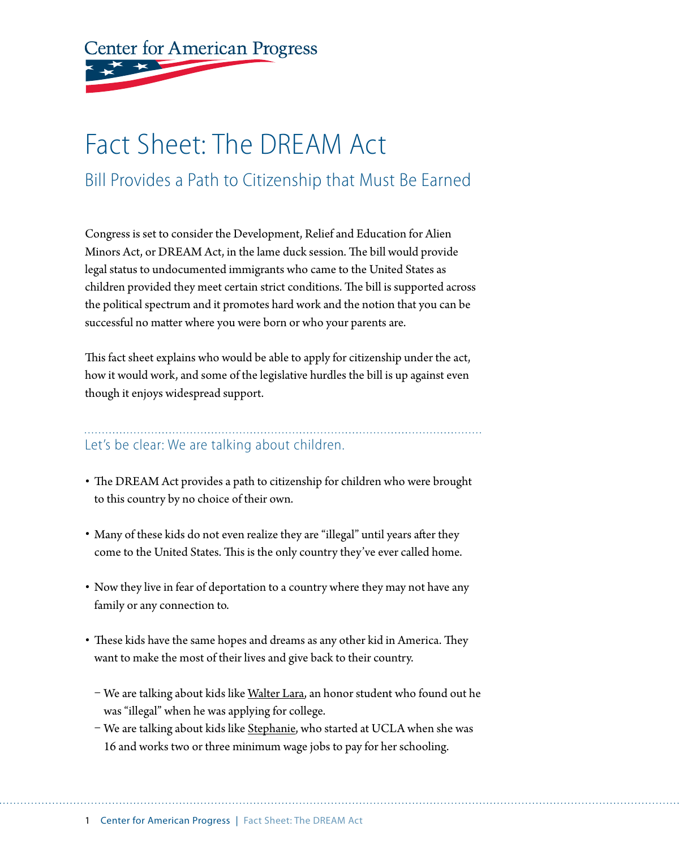**Center for American Progress** 

## Fact Sheet: The DREAM Act Bill Provides a Path to Citizenship that Must Be Earned

Congress is set to consider the Development, Relief and Education for Alien Minors Act, or DREAM Act, in the lame duck session. The bill would provide legal status to undocumented immigrants who came to the United States as children provided they meet certain strict conditions. The bill is supported across the political spectrum and it promotes hard work and the notion that you can be successful no matter where you were born or who your parents are.

This fact sheet explains who would be able to apply for citizenship under the act, how it would work, and some of the legislative hurdles the bill is up against even though it enjoys widespread support.

## Let's be clear: We are talking about children.

- The DREAM Act provides a path to citizenship for children who were brought to this country by no choice of their own.
- Many of these kids do not even realize they are "illegal" until years after they come to the United States. This is the only country they've ever called home.
- Now they live in fear of deportation to a country where they may not have any family or any connection to.
- These kids have the same hopes and dreams as any other kid in America. They want to make the most of their lives and give back to their country.
	- We are talking about kids like [Walter Lara](http://blogs.orlandosentinel.com/news_hispanicaffairs/2009/05/how-walter-lara-found-out-he-was-an-illegal-alien.html), an honor student who found out he was "illegal" when he was applying for college.
	- We are talking about kids like [Stephanie,](http://www.youtube.com/watch?v=jI7J2b3t4WU) who started at UCLA when she was 16 and works two or three minimum wage jobs to pay for her schooling.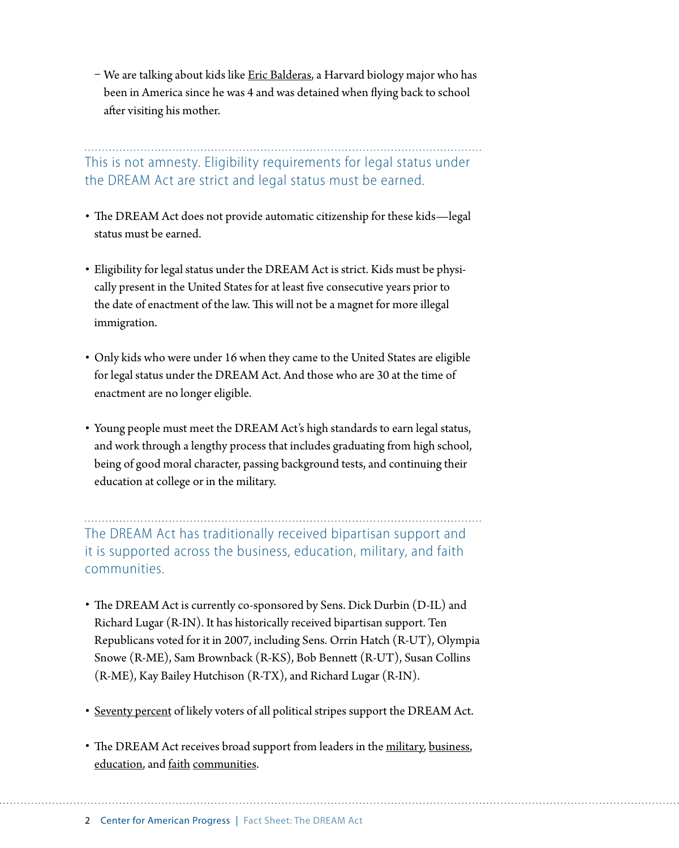– We are talking about kids like [Eric Balderas](http://americasvoiceonline.org/blog/entry/how_many_more_students_like_eric_balderas_will_face_deportation_before/), a Harvard biology major who has been in America since he was 4 and was detained when flying back to school after visiting his mother.

## This is not amnesty. Eligibility requirements for legal status under the DREAM Act are strict and legal status must be earned.

- The DREAM Act does not provide automatic citizenship for these kids—legal status must be earned.
- Eligibility for legal status under the DREAM Act is strict. Kids must be physically present in the United States for at least five consecutive years prior to the date of enactment of the law. This will not be a magnet for more illegal immigration.
- • Only kids who were under 16 when they came to the United States are eligible for legal status under the DREAM Act. And those who are 30 at the time of enactment are no longer eligible.
- Young people must meet the DREAM Act's high standards to earn legal status, and work through a lengthy process that includes graduating from high school, being of good moral character, passing background tests, and continuing their education at college or in the military.

The DREAM Act has traditionally received bipartisan support and it is supported across the business, education, military, and faith communities.

- The DREAM Act is currently co-sponsored by Sens. Dick Durbin (D-IL) and Richard Lugar (R-IN). It has historically received bipartisan support. Ten Republicans voted for it in 2007, including Sens. Orrin Hatch (R-UT), Olympia Snowe (R-ME), Sam Brownback (R-KS), Bob Bennett (R-UT), Susan Collins (R-ME), Kay Bailey Hutchison (R-TX), and Richard Lugar (R-IN).
- [Seventy percent](http://americasvoiceonline.org/research/entry/background_briefing_the_dream_act) of likely voters of all political stripes support the DREAM Act.
- The DREAM Act receives broad support from leaders in the [military](http://armed-services.senate.gov/statemnt/2006/July/Chu 07-10-06.pdf), [business](http://blogs.technet.com/b/microsoft_on_the_issues/archive/2009/04/08/microsoft-letter-to-dream-act-sponsors.aspx), [education,](http://www.yakima-herald.com/stories/2010/07/22/college-and-university-presidents-lobbying-for-the-dream-act) and [faith](http://www.usccb.org/comm/archives/2009/09-075.shtml) [communities.](http://blog.sojo.net/2010/06/07/imagining-a-new-american-church-response-to-immigration/)